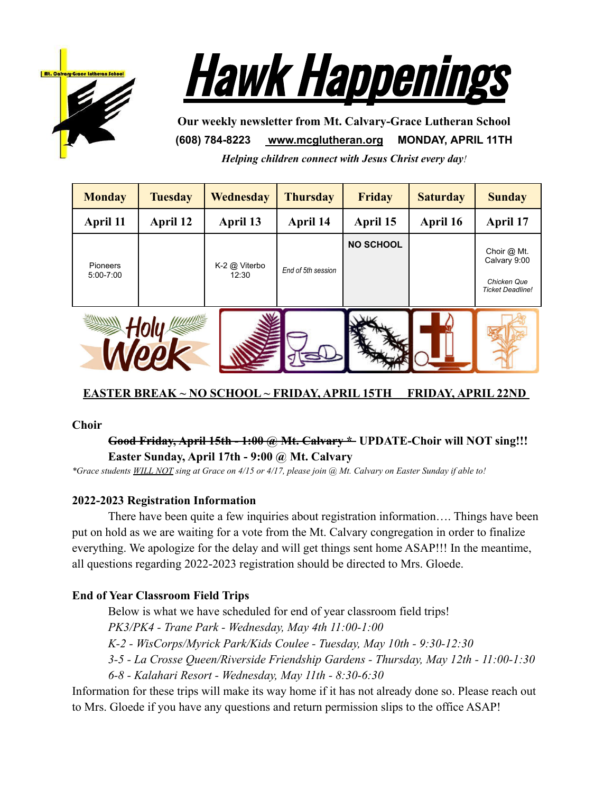



**Our weekly newsletter from Mt. Calvary-Grace Lutheran School (608) 784-8223 [www.mcglutheran.org](http://www.mcglutheran.org/) MONDAY, APRIL 11TH** *Helping children connect with Jesus Christ every day!*

| <b>Monday</b>             | <b>Tuesday</b> | <b>Wednesday</b>       | <b>Thursday</b>    | <b>Friday</b>    | <b>Saturday</b> | <b>Sunday</b>                                                         |
|---------------------------|----------------|------------------------|--------------------|------------------|-----------------|-----------------------------------------------------------------------|
| April 11                  | April 12       | April 13               | April 14           | April 15         | April 16        | April 17                                                              |
| Pioneers<br>$5:00 - 7:00$ |                | K-2 @ Viterbo<br>12:30 | End of 5th session | <b>NO SCHOOL</b> |                 | Choir @ Mt.<br>Calvary 9:00<br>Chicken Que<br><b>Ticket Deadline!</b> |
|                           |                |                        |                    |                  |                 |                                                                       |

# **EASTER BREAK ~ NO SCHOOL ~ FRIDAY, APRIL 15TH FRIDAY, APRIL 22ND**

#### **Choir**

## **Good Friday, April 15th - 1:00 @ Mt. Calvary \* UPDATE-Choir will NOT sing!!! Easter Sunday, April 17th - 9:00 @ Mt. Calvary**

*\*Grace students WILL NOT sing at Grace on 4/15 or 4/17, please join @ Mt. Calvary on Easter Sunday if able to!*

## **2022-2023 Registration Information**

There have been quite a few inquiries about registration information…. Things have been put on hold as we are waiting for a vote from the Mt. Calvary congregation in order to finalize everything. We apologize for the delay and will get things sent home ASAP!!! In the meantime, all questions regarding 2022-2023 registration should be directed to Mrs. Gloede.

## **End of Year Classroom Field Trips**

Below is what we have scheduled for end of year classroom field trips!

*PK3/PK4 - Trane Park - Wednesday, May 4th 11:00-1:00*

*K-2 - WisCorps/Myrick Park/Kids Coulee - Tuesday, May 10th - 9:30-12:30*

*3-5 - La Crosse Queen/Riverside Friendship Gardens - Thursday, May 12th - 11:00-1:30*

*6-8 - Kalahari Resort - Wednesday, May 11th - 8:30-6:30*

Information for these trips will make its way home if it has not already done so. Please reach out to Mrs. Gloede if you have any questions and return permission slips to the office ASAP!